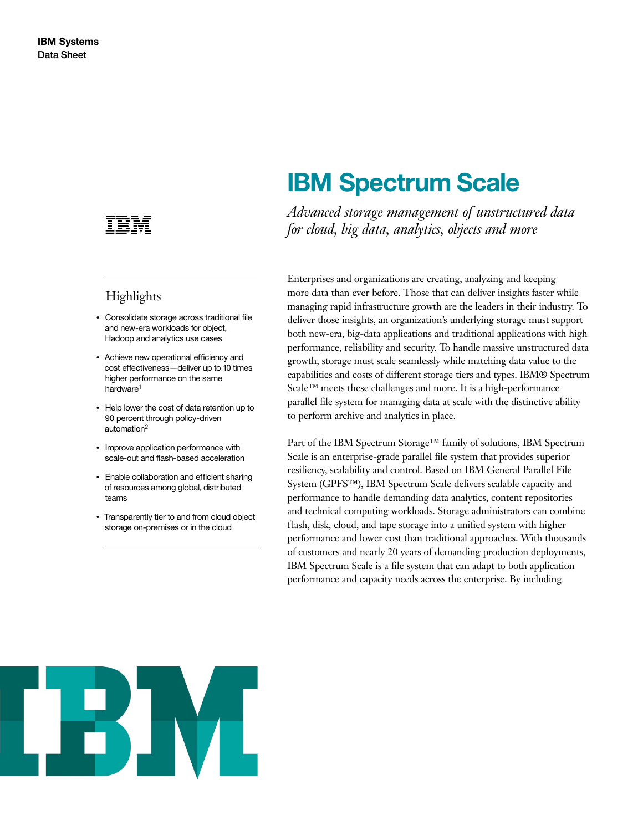

## **Highlights**

- Consolidate storage across traditional file and new-era workloads for object, Hadoop and analytics use cases
- Achieve new operational efficiency and cost effectiveness—deliver up to 10 times higher performance on the same hardware<sup>1</sup>
- Help lower the cost of data retention up to 90 percent through policy-driven automation2
- Improve application performance with scale-out and flash-based acceleration
- Enable collaboration and efficient sharing of resources among global, distributed teams
- Transparently tier to and from cloud object storage on-premises or in the cloud

# **IBM Spectrum Scale**

*Advanced storage management of unstructured data for cloud, big data, analytics, objects and more*

Enterprises and organizations are creating, analyzing and keeping more data than ever before. Those that can deliver insights faster while managing rapid infrastructure growth are the leaders in their industry. To deliver those insights, an organization's underlying storage must support both new-era, big-data applications and traditional applications with high performance, reliability and security. To handle massive unstructured data growth, storage must scale seamlessly while matching data value to the capabilities and costs of different storage tiers and types. IBM® Spectrum Scale™ meets these challenges and more. It is a high-performance parallel file system for managing data at scale with the distinctive ability to perform archive and analytics in place.

Part of the IBM Spectrum Storage™ family of solutions, IBM Spectrum Scale is an enterprise-grade parallel file system that provides superior resiliency, scalability and control. Based on IBM General Parallel File System (GPFS™), IBM Spectrum Scale delivers scalable capacity and performance to handle demanding data analytics, content repositories and technical computing workloads. Storage administrators can combine flash, disk, cloud, and tape storage into a unified system with higher performance and lower cost than traditional approaches. With thousands of customers and nearly 20 years of demanding production deployments, IBM Spectrum Scale is a file system that can adapt to both application performance and capacity needs across the enterprise. By including

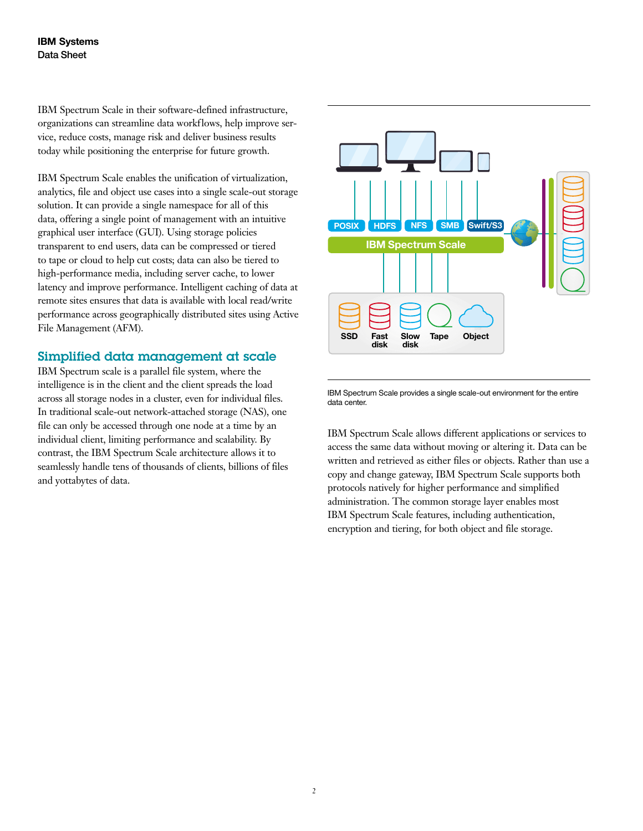IBM Spectrum Scale in their software-defined infrastructure, organizations can streamline data workflows, help improve service, reduce costs, manage risk and deliver business results today while positioning the enterprise for future growth.

IBM Spectrum Scale enables the unification of virtualization, analytics, file and object use cases into a single scale-out storage solution. It can provide a single namespace for all of this data, offering a single point of management with an intuitive graphical user interface (GUI). Using storage policies transparent to end users, data can be compressed or tiered to tape or cloud to help cut costs; data can also be tiered to high-performance media, including server cache, to lower latency and improve performance. Intelligent caching of data at remote sites ensures that data is available with local read/write performance across geographically distributed sites using Active File Management (AFM).

#### Simplified data management at scale

IBM Spectrum scale is a parallel file system, where the intelligence is in the client and the client spreads the load across all storage nodes in a cluster, even for individual files. In traditional scale-out network-attached storage (NAS), one file can only be accessed through one node at a time by an individual client, limiting performance and scalability. By contrast, the IBM Spectrum Scale architecture allows it to seamlessly handle tens of thousands of clients, billions of files and yottabytes of data.



IBM Spectrum Scale provides a single scale-out environment for the entire data center.

IBM Spectrum Scale allows different applications or services to access the same data without moving or altering it. Data can be written and retrieved as either files or objects. Rather than use a copy and change gateway, IBM Spectrum Scale supports both protocols natively for higher performance and simplified administration. The common storage layer enables most IBM Spectrum Scale features, including authentication, encryption and tiering, for both object and file storage.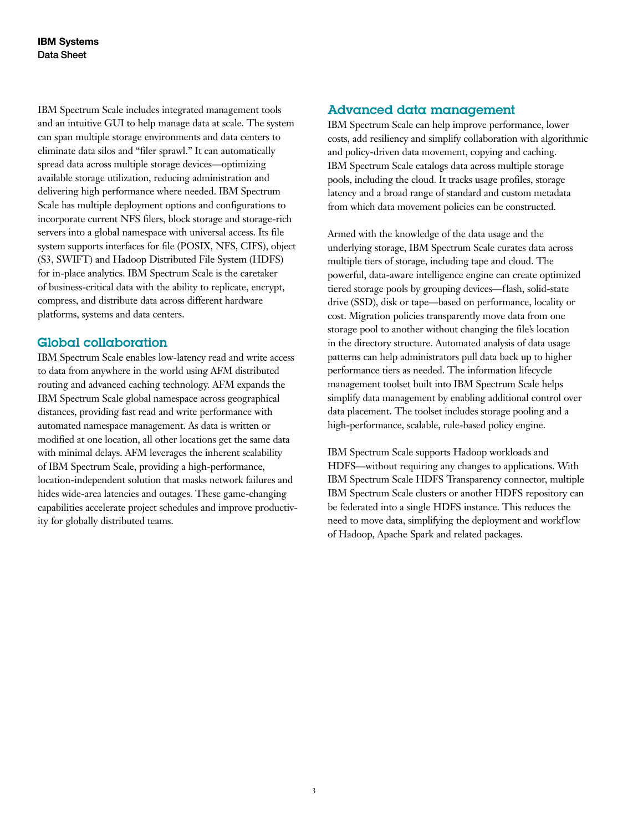IBM Spectrum Scale includes integrated management tools and an intuitive GUI to help manage data at scale. The system can span multiple storage environments and data centers to eliminate data silos and "filer sprawl." It can automatically spread data across multiple storage devices—optimizing available storage utilization, reducing administration and delivering high performance where needed. IBM Spectrum Scale has multiple deployment options and configurations to incorporate current NFS filers, block storage and storage-rich servers into a global namespace with universal access. Its file system supports interfaces for file (POSIX, NFS, CIFS), object (S3, SWIFT) and Hadoop Distributed File System (HDFS) for in-place analytics. IBM Spectrum Scale is the caretaker of business-critical data with the ability to replicate, encrypt, compress, and distribute data across different hardware platforms, systems and data centers.

#### Global collaboration

IBM Spectrum Scale enables low-latency read and write access to data from anywhere in the world using AFM distributed routing and advanced caching technology. AFM expands the IBM Spectrum Scale global namespace across geographical distances, providing fast read and write performance with automated namespace management. As data is written or modified at one location, all other locations get the same data with minimal delays. AFM leverages the inherent scalability of IBM Spectrum Scale, providing a high-performance, location-independent solution that masks network failures and hides wide-area latencies and outages. These game-changing capabilities accelerate project schedules and improve productivity for globally distributed teams.

#### Advanced data management

IBM Spectrum Scale can help improve performance, lower costs, add resiliency and simplify collaboration with algorithmic and policy-driven data movement, copying and caching. IBM Spectrum Scale catalogs data across multiple storage pools, including the cloud. It tracks usage profiles, storage latency and a broad range of standard and custom metadata from which data movement policies can be constructed.

Armed with the knowledge of the data usage and the underlying storage, IBM Spectrum Scale curates data across multiple tiers of storage, including tape and cloud. The powerful, data-aware intelligence engine can create optimized tiered storage pools by grouping devices—flash, solid-state drive (SSD), disk or tape—based on performance, locality or cost. Migration policies transparently move data from one storage pool to another without changing the file's location in the directory structure. Automated analysis of data usage patterns can help administrators pull data back up to higher performance tiers as needed. The information lifecycle management toolset built into IBM Spectrum Scale helps simplify data management by enabling additional control over data placement. The toolset includes storage pooling and a high-performance, scalable, rule-based policy engine.

IBM Spectrum Scale supports Hadoop workloads and HDFS—without requiring any changes to applications. With IBM Spectrum Scale HDFS Transparency connector, multiple IBM Spectrum Scale clusters or another HDFS repository can be federated into a single HDFS instance. This reduces the need to move data, simplifying the deployment and workflow of Hadoop, Apache Spark and related packages.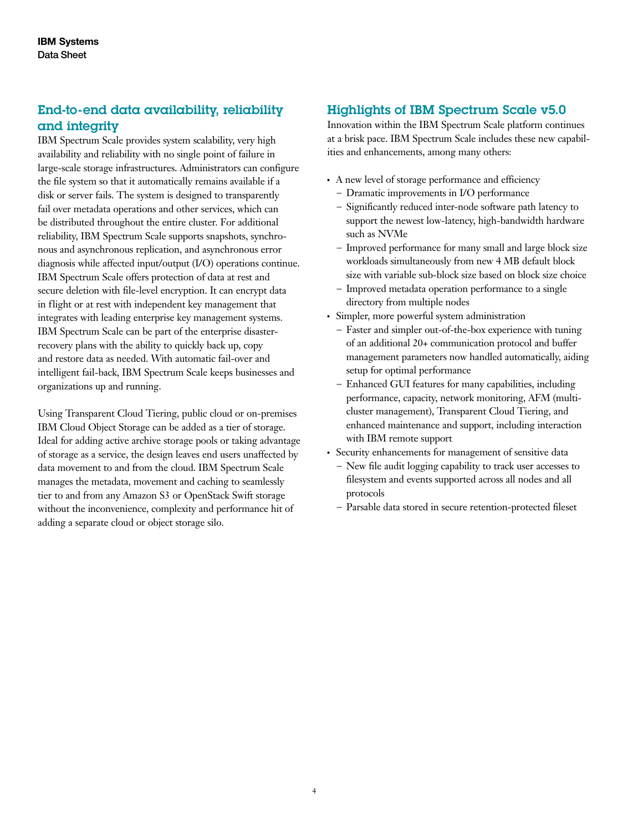### End-to-end data availability, reliability and integrity

IBM Spectrum Scale provides system scalability, very high availability and reliability with no single point of failure in large-scale storage infrastructures. Administrators can configure the file system so that it automatically remains available if a disk or server fails. The system is designed to transparently fail over metadata operations and other services, which can be distributed throughout the entire cluster. For additional reliability, IBM Spectrum Scale supports snapshots, synchronous and asynchronous replication, and asynchronous error diagnosis while affected input/output (I/O) operations continue. IBM Spectrum Scale offers protection of data at rest and secure deletion with file-level encryption. It can encrypt data in flight or at rest with independent key management that integrates with leading enterprise key management systems. IBM Spectrum Scale can be part of the enterprise disasterrecovery plans with the ability to quickly back up, copy and restore data as needed. With automatic fail-over and intelligent fail-back, IBM Spectrum Scale keeps businesses and organizations up and running.

Using Transparent Cloud Tiering, public cloud or on-premises IBM Cloud Object Storage can be added as a tier of storage. Ideal for adding active archive storage pools or taking advantage of storage as a service, the design leaves end users unaffected by data movement to and from the cloud. IBM Spectrum Scale manages the metadata, movement and caching to seamlessly tier to and from any Amazon S3 or OpenStack Swift storage without the inconvenience, complexity and performance hit of adding a separate cloud or object storage silo.

#### Highlights of IBM Spectrum Scale v5.0

Innovation within the IBM Spectrum Scale platform continues at a brisk pace. IBM Spectrum Scale includes these new capabilities and enhancements, among many others:

- A new level of storage performance and efficiency
	- Dramatic improvements in I/O performance
	- Significantly reduced inter-node software path latency to support the newest low-latency, high-bandwidth hardware such as NVMe
	- Improved performance for many small and large block size workloads simultaneously from new 4 MB default block size with variable sub-block size based on block size choice
	- Improved metadata operation performance to a single directory from multiple nodes
- Simpler, more powerful system administration
	- Faster and simpler out-of-the-box experience with tuning of an additional 20+ communication protocol and buffer management parameters now handled automatically, aiding setup for optimal performance
	- Enhanced GUI features for many capabilities, including performance, capacity, network monitoring, AFM (multicluster management), Transparent Cloud Tiering, and enhanced maintenance and support, including interaction with IBM remote support
- Security enhancements for management of sensitive data
	- New file audit logging capability to track user accesses to filesystem and events supported across all nodes and all protocols
	- Parsable data stored in secure retention-protected fileset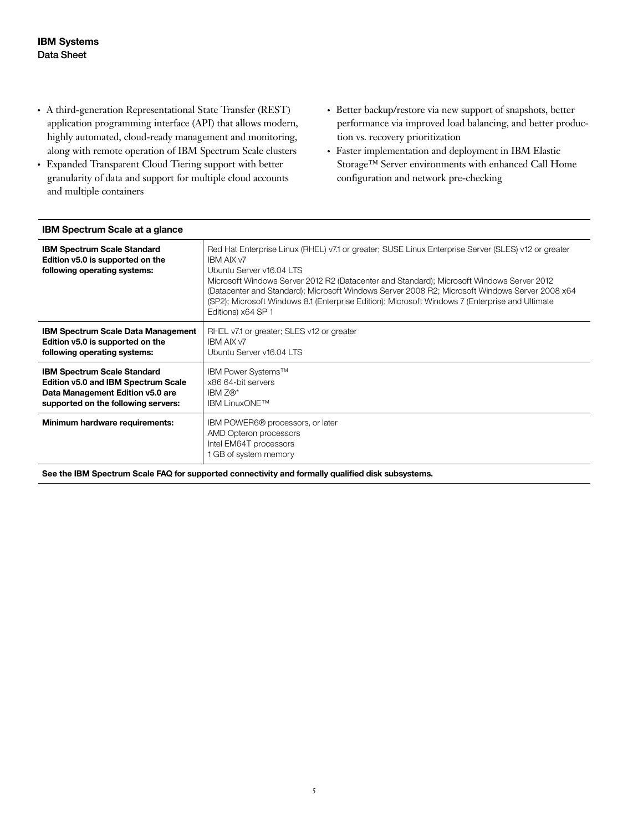- A third-generation Representational State Transfer (REST) application programming interface (API) that allows modern, highly automated, cloud-ready management and monitoring, along with remote operation of IBM Spectrum Scale clusters
- Expanded Transparent Cloud Tiering support with better granularity of data and support for multiple cloud accounts and multiple containers
- Better backup/restore via new support of snapshots, better performance via improved load balancing, and better production vs. recovery prioritization
- Faster implementation and deployment in IBM Elastic Storage™ Server environments with enhanced Call Home configuration and network pre-checking

| <b>IBM Spectrum Scale at a glance</b>                                                                                                                |                                                                                                                                                                                                                                                                                                                                                                                                                                                                              |
|------------------------------------------------------------------------------------------------------------------------------------------------------|------------------------------------------------------------------------------------------------------------------------------------------------------------------------------------------------------------------------------------------------------------------------------------------------------------------------------------------------------------------------------------------------------------------------------------------------------------------------------|
| <b>IBM Spectrum Scale Standard</b><br>Edition v5.0 is supported on the<br>following operating systems:                                               | Red Hat Enterprise Linux (RHEL) v7.1 or greater; SUSE Linux Enterprise Server (SLES) v12 or greater<br><b>IBM AIX v7</b><br>Ubuntu Server v16.04 LTS<br>Microsoft Windows Server 2012 R2 (Datacenter and Standard); Microsoft Windows Server 2012<br>(Datacenter and Standard); Microsoft Windows Server 2008 R2; Microsoft Windows Server 2008 x64<br>(SP2); Microsoft Windows 8.1 (Enterprise Edition); Microsoft Windows 7 (Enterprise and Ultimate<br>Editions) x64 SP 1 |
| <b>IBM Spectrum Scale Data Management</b><br>Edition v5.0 is supported on the<br>following operating systems:                                        | RHEL v7.1 or greater; SLES v12 or greater<br><b>IBM AIX v7</b><br>Ubuntu Server v16.04 LTS                                                                                                                                                                                                                                                                                                                                                                                   |
| <b>IBM Spectrum Scale Standard</b><br>Edition v5.0 and IBM Spectrum Scale<br>Data Management Edition v5.0 are<br>supported on the following servers: | IBM Power Systems™<br>x86 64-bit servers<br>IBM $Z\mathbb{R}^*$<br><b>IBM LinuxONE™</b>                                                                                                                                                                                                                                                                                                                                                                                      |
| Minimum hardware requirements:                                                                                                                       | IBM POWER6 <sup>®</sup> processors, or later<br>AMD Opteron processors<br>Intel EM64T processors<br>1 GB of system memory                                                                                                                                                                                                                                                                                                                                                    |

**See the IBM Spectrum Scale FAQ for supported connectivity and formally qualified disk subsystems.**